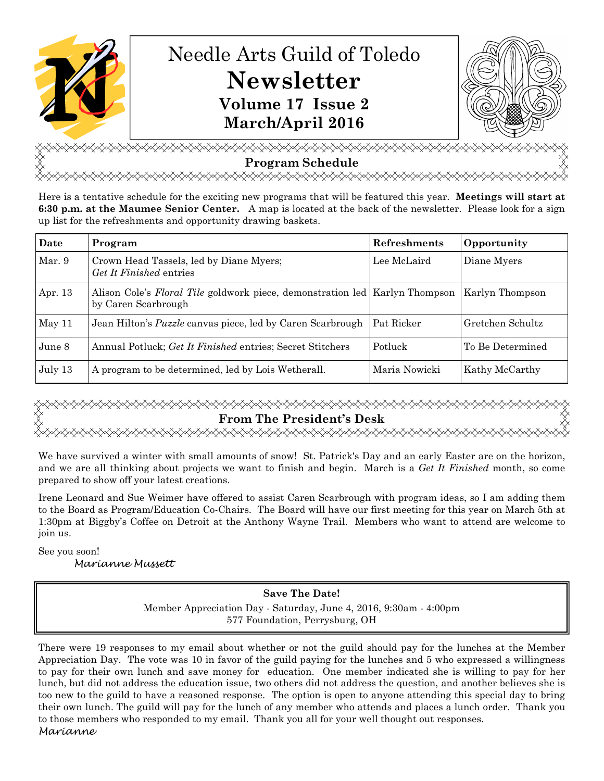

<del></del> **Program Schedule**  <del></del>

Here is a tentative schedule for the exciting new programs that will be featured this year. **Meetings will start at 6:30 p.m. at the Maumee Senior Center.** A map is located at the back of the newsletter. Please look for a sign up list for the refreshments and opportunity drawing baskets.

| Date    | Program                                                                                              | <b>Refreshments</b> | Opportunity         |
|---------|------------------------------------------------------------------------------------------------------|---------------------|---------------------|
| Mar. 9  | Crown Head Tassels, led by Diane Myers;<br>Get It Finished entries                                   | Lee McLaird         | Diane Myers         |
| Apr. 13 | Alison Cole's Floral Tile goldwork piece, demonstration led   Karlyn Thompson<br>by Caren Scarbrough |                     | Karlyn Thompson     |
| May 11  | Jean Hilton's <i>Puzzle</i> canvas piece, led by Caren Scarbrough                                    | Pat Ricker          | Gretchen Schultz    |
| June 8  | Annual Potluck; Get It Finished entries; Secret Stitchers                                            | Potluck             | l To Be Determined- |
| July 13 | A program to be determined, led by Lois Wetherall.                                                   | Maria Nowicki       | Kathy McCarthy      |

# **From The President's Desk**  <del></del>

We have survived a winter with small amounts of snow! St. Patrick's Day and an early Easter are on the horizon, and we are all thinking about projects we want to finish and begin. March is a *Get It Finished* month, so come prepared to show off your latest creations.

Irene Leonard and Sue Weimer have offered to assist Caren Scarbrough with program ideas, so I am adding them to the Board as Program/Education Co-Chairs. The Board will have our first meeting for this year on March 5th at 1:30pm at Biggby's Coffee on Detroit at the Anthony Wayne Trail. Members who want to attend are welcome to join us.

See you soon!

Marianne Mussett

### **Save The Date!**

Member Appreciation Day - Saturday, June 4, 2016, 9:30am - 4:00pm 577 Foundation, Perrysburg, OH

There were 19 responses to my email about whether or not the guild should pay for the lunches at the Member Appreciation Day. The vote was 10 in favor of the guild paying for the lunches and 5 who expressed a willingness to pay for their own lunch and save money for education. One member indicated she is willing to pay for her lunch, but did not address the education issue, two others did not address the question, and another believes she is too new to the guild to have a reasoned response. The option is open to anyone attending this special day to bring their own lunch. The guild will pay for the lunch of any member who attends and places a lunch order. Thank you to those members who responded to my email. Thank you all for your well thought out responses. Marianne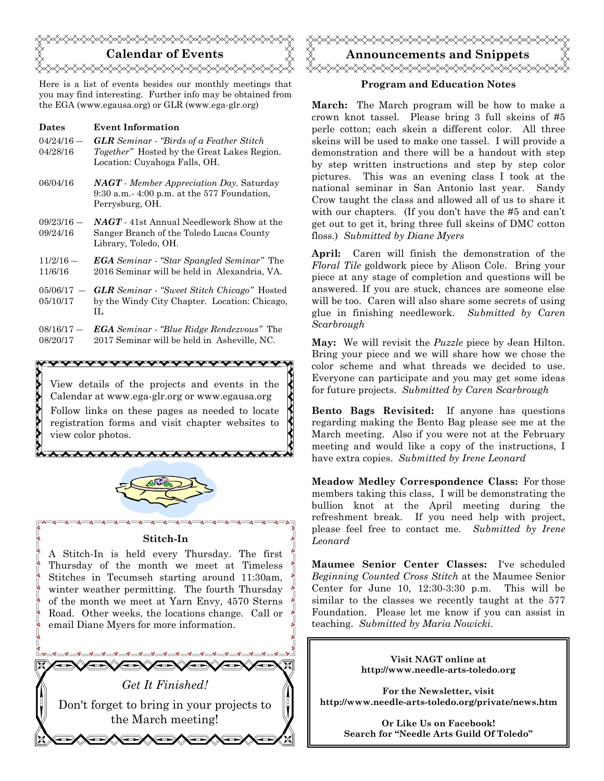

Here is a list of events besides our monthly meetings that you may find interesting. Further info may be obtained from the EGA (www.egausa.org) or GLR (www.ega-glr.org)

| <b>Dates</b> | <b>Event Information</b>                                                             |
|--------------|--------------------------------------------------------------------------------------|
| $04/24/16$ — | <b>GLR</b> Seminar - "Birds of a Feather Stitch"                                     |
| 04/28/16     | <i>Together</i> " Hosted by the Great Lakes Region.<br>Location: Cuyahoga Falls, OH. |
|              |                                                                                      |

- 06/04/16 *NAGT Member Appreciation Day.* Saturday 9:30 a.m.- 4:00 p.m. at the 577 Foundation, Perrysburg, OH.
- 09/23/16 ― 09/24/16 *NAGT* - 41st Annual Needlework Show at the Sanger Branch of the Toledo Lucas County Library, Toledo, OH.
- $11/2/16 -$ 11/6/16 *EGA Seminar - "Star Spangled Seminar"* The 2016 Seminar will be held in Alexandria, VA.
- $05/06/17 -$ 05/10/17 *GLR Seminar* - *"Sweet Stitch Chicago"* Hosted by the Windy City Chapter. Location: Chicago, IL
- $08/16/17 -$ 08/20/17 *EGA Seminar - "Blue Ridge Rendezvous"* The 2017 Seminar will be held in Asheville, NC.

xxxxxxxxxxxxxxxxxxxx

View details of the projects and events in the Calendar at www.ega-glr.org or www.egausa.org Follow links on these pages as needed to locate registration forms and visit chapter websites to view color photos.



AAAAAAAAAAAAAAAAAAAAA

### **Stitch-In**

A Stitch-In is held every Thursday. The first Thursday of the month we meet at Timeless Stitches in Tecumseh starting around 11:30am, winter weather permitting. The fourth Thursday of the month we meet at Yarn Envy, 4570 Sterns Road. Other weeks, the locations change. Call or email Diane Myers for more information.





### **Program and Education Notes**

**March:** The March program will be how to make a crown knot tassel. Please bring 3 full skeins of #5 perle cotton; each skein a different color. All three skeins will be used to make one tassel. I will provide a demonstration and there will be a handout with step by step written instructions and step by step color pictures. This was an evening class I took at the national seminar in San Antonio last year. Sandy Crow taught the class and allowed all of us to share it with our chapters. (If you don't have the #5 and can't get out to get it, bring three full skeins of DMC cotton floss.) *Submitted by Diane Myers* 

**April:** Caren will finish the demonstration of the *Floral Tile* goldwork piece by Alison Cole. Bring your piece at any stage of completion and questions will be answered. If you are stuck, chances are someone else will be too. Caren will also share some secrets of using glue in finishing needlework. *Submitted by Caren Scarbrough*

**May:** We will revisit the *Puzzle* piece by Jean Hilton. Bring your piece and we will share how we chose the color scheme and what threads we decided to use. Everyone can participate and you may get some ideas for future projects. *Submitted by Caren Scarbrough*

**Bento Bags Revisited:** If anyone has questions regarding making the Bento Bag please see me at the March meeting. Also if you were not at the February meeting and would like a copy of the instructions, I have extra copies. *Submitted by Irene Leonard*

**Meadow Medley Correspondence Class:** For those members taking this class, I will be demonstrating the bullion knot at the April meeting during the refreshment break. If you need help with project, please feel free to contact me. *Submitted by Irene Leonard* 

**Maumee Senior Center Classes:** I've scheduled *Beginning Counted Cross Stitch* at the Maumee Senior Center for June 10, 12:30-3:30 p.m. This will be similar to the classes we recently taught at the 577 Foundation. Please let me know if you can assist in teaching. *Submitted by Maria Nowicki.*

> **Visit NAGT online at http://www.needle-arts-toledo.org**

**For the Newsletter, visit http://www.needle-arts-toledo.org/private/news.htm** 

> **Or Like Us on Facebook! Search for "Needle Arts Guild Of Toledo"**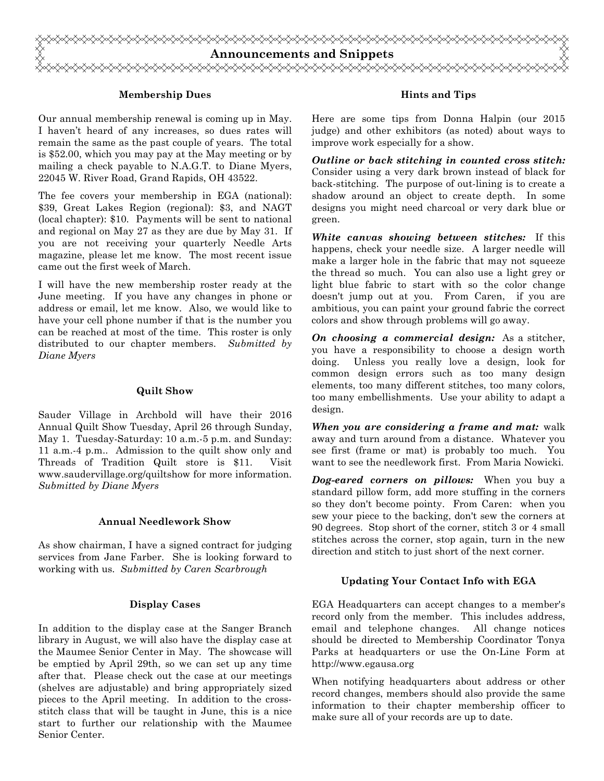

### **Membership Dues**

Our annual membership renewal is coming up in May. I haven't heard of any increases, so dues rates will remain the same as the past couple of years. The total is \$52.00, which you may pay at the May meeting or by mailing a check payable to N.A.G.T. to Diane Myers, 22045 W. River Road, Grand Rapids, OH 43522.

The fee covers your membership in EGA (national): \$39, Great Lakes Region (regional): \$3, and NAGT (local chapter): \$10. Payments will be sent to national and regional on May 27 as they are due by May 31. If you are not receiving your quarterly Needle Arts magazine, please let me know. The most recent issue came out the first week of March.

I will have the new membership roster ready at the June meeting. If you have any changes in phone or address or email, let me know. Also, we would like to have your cell phone number if that is the number you can be reached at most of the time. This roster is only distributed to our chapter members. *Submitted by Diane Myers* 

### **Quilt Show**

Sauder Village in Archbold will have their 2016 Annual Quilt Show Tuesday, April 26 through Sunday, May 1. Tuesday-Saturday: 10 a.m.-5 p.m. and Sunday: 11 a.m.-4 p.m.. Admission to the quilt show only and Threads of Tradition Quilt store is \$11. Visit www.saudervillage.org/quiltshow for more information. *Submitted by Diane Myers* 

### **Annual Needlework Show**

As show chairman, I have a signed contract for judging services from Jane Farber. She is looking forward to working with us. *Submitted by Caren Scarbrough* 

### **Display Cases**

In addition to the display case at the Sanger Branch library in August, we will also have the display case at the Maumee Senior Center in May. The showcase will be emptied by April 29th, so we can set up any time after that. Please check out the case at our meetings (shelves are adjustable) and bring appropriately sized pieces to the April meeting. In addition to the crossstitch class that will be taught in June, this is a nice start to further our relationship with the Maumee Senior Center.

### **Hints and Tips**

Here are some tips from Donna Halpin (our 2015 judge) and other exhibitors (as noted) about ways to improve work especially for a show.

*Outline or back stitching in counted cross stitch:* Consider using a very dark brown instead of black for back-stitching. The purpose of out-lining is to create a shadow around an object to create depth. In some designs you might need charcoal or very dark blue or green.

*White canvas showing between stitches:* If this happens, check your needle size. A larger needle will make a larger hole in the fabric that may not squeeze the thread so much. You can also use a light grey or light blue fabric to start with so the color change doesn't jump out at you. From Caren, if you are ambitious, you can paint your ground fabric the correct colors and show through problems will go away.

*On choosing a commercial design:* As a stitcher, you have a responsibility to choose a design worth doing. Unless you really love a design, look for common design errors such as too many design elements, too many different stitches, too many colors, too many embellishments. Use your ability to adapt a design.

*When you are considering a frame and mat:* walk away and turn around from a distance. Whatever you see first (frame or mat) is probably too much. You want to see the needlework first. From Maria Nowicki.

*Dog-eared corners on pillows:* When you buy a standard pillow form, add more stuffing in the corners so they don't become pointy. From Caren: when you sew your piece to the backing, don't sew the corners at 90 degrees. Stop short of the corner, stitch 3 or 4 small stitches across the corner, stop again, turn in the new direction and stitch to just short of the next corner.

### **Updating Your Contact Info with EGA**

EGA Headquarters can accept changes to a member's record only from the member. This includes address, email and telephone changes. All change notices should be directed to Membership Coordinator Tonya Parks at headquarters or use the On-Line Form at http://www.egausa.org

When notifying headquarters about address or other record changes, members should also provide the same information to their chapter membership officer to make sure all of your records are up to date.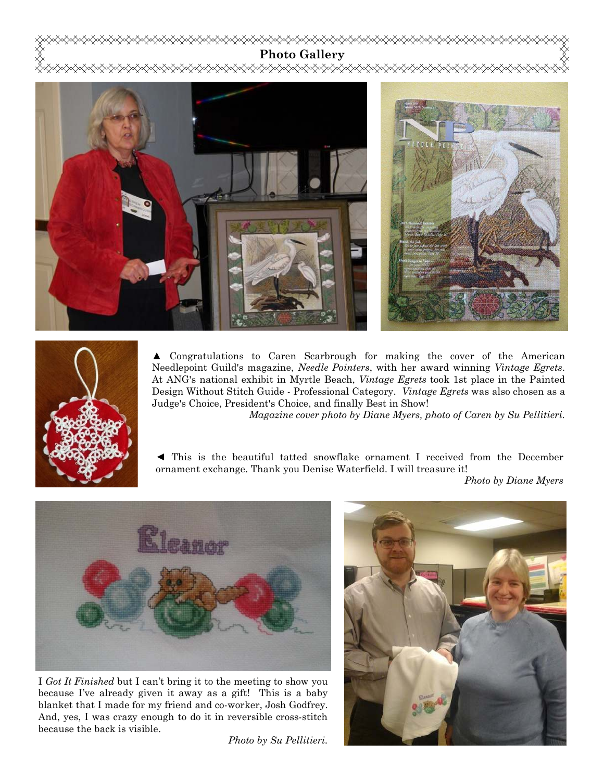



▲ Congratulations to Caren Scarbrough for making the cover of the American Needlepoint Guild's magazine, *Needle Pointers*, with her award winning *Vintage Egrets*. At ANG's national exhibit in Myrtle Beach, *Vintage Egrets* took 1st place in the Painted Design Without Stitch Guide - Professional Category. *Vintage Egrets* was also chosen as a Judge's Choice, President's Choice, and finally Best in Show!

*Magazine cover photo by Diane Myers, photo of Caren by Su Pellitieri.*

◄ This is the beautiful tatted snowflake ornament I received from the December ornament exchange. Thank you Denise Waterfield. I will treasure it!

*Photo by Diane Myers* 



I *Got It Finished* but I can't bring it to the meeting to show you because I've already given it away as a gift! This is a baby blanket that I made for my friend and co-worker, Josh Godfrey. And, yes, I was crazy enough to do it in reversible cross-stitch because the back is visible.

*Photo by Su Pellitieri.* 

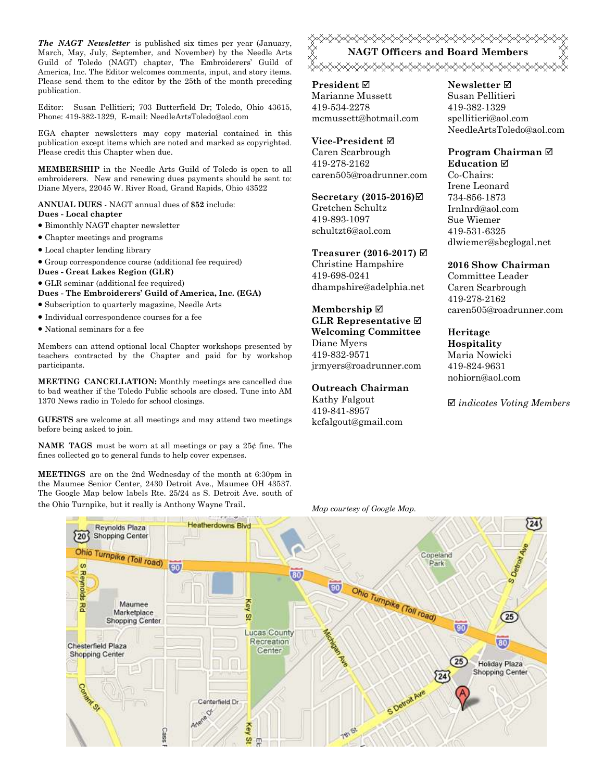*The NAGT Newsletter* is published six times per year (January, March, May, July, September, and November) by the Needle Arts Guild of Toledo (NAGT) chapter, The Embroiderers' Guild of America, Inc. The Editor welcomes comments, input, and story items. Please send them to the editor by the 25th of the month preceding publication.

Editor: Susan Pellitieri; 703 Butterfield Dr; Toledo, Ohio 43615, Phone: 419-382-1329, E-mail: NeedleArtsToledo@aol.com

EGA chapter newsletters may copy material contained in this publication except items which are noted and marked as copyrighted. Please credit this Chapter when due.

**MEMBERSHIP** in the Needle Arts Guild of Toledo is open to all embroiderers. New and renewing dues payments should be sent to: Diane Myers, 22045 W. River Road, Grand Rapids, Ohio 43522

**ANNUAL DUES** - NAGT annual dues of **\$52** include: **Dues - Local chapter** 

- Bimonthly NAGT chapter newsletter
- Chapter meetings and programs
- Local chapter lending library
- Group correspondence course (additional fee required)
- **Dues Great Lakes Region (GLR)**
- GLR seminar (additional fee required) **Dues - The Embroiderers' Guild of America, Inc. (EGA)**
- Subscription to quarterly magazine, Needle Arts
- Individual correspondence courses for a fee
- National seminars for a fee

Members can attend optional local Chapter workshops presented by teachers contracted by the Chapter and paid for by workshop participants.

**MEETING CANCELLATION:** Monthly meetings are cancelled due to bad weather if the Toledo Public schools are closed. Tune into AM 1370 News radio in Toledo for school closings.

**GUESTS** are welcome at all meetings and may attend two meetings before being asked to join.

**NAME TAGS** must be worn at all meetings or pay a 25¢ fine. The fines collected go to general funds to help cover expenses.

**MEETINGS** are on the 2nd Wednesday of the month at 6:30pm in the Maumee Senior Center, 2430 Detroit Ave., Maumee OH 43537. The Google Map below labels Rte. 25/24 as S. Detroit Ave. south of the Ohio Turnpike, but it really is Anthony Wayne Trail. *Map courtesy of Google Map.* 

<del></del> **NAGT Officers and Board Members**  <del></del>

**President** Marianne Mussett 419-534-2278 mcmussett@hotmail.com

## **Vice-President**

Caren Scarbrough 419-278-2162 caren505@roadrunner.com

### **Secretary (2015-2016)**

Gretchen Schultz 419-893-1097

schultzt6@aol.com

**Treasurer (2016-2017)**  Christine Hampshire 419-698-0241 dhampshire@adelphia.net

### **Membership GLR Representative Welcoming Committee**  Diane Myers

419-832-9571 jrmyers@roadrunner.com

### **Outreach Chairman**

Kathy Falgout 419-841-8957 kcfalgout@gmail.com

### **Newsletter**  Susan Pellitieri 419-382-1329 spellitieri@aol.com NeedleArtsToledo@aol.com

### **Program Chairman Education**

Co-Chairs: Irene Leonard 734-856-1873 Irnlnrd@aol.com Sue Wiemer 419-531-6325 dlwiemer@sbcglogal.net

### **2016 Show Chairman**

Committee Leader Caren Scarbrough 419-278-2162 caren505@roadrunner.com

## **Heritage Hospitality**  Maria Nowicki

419-824-9631 nohiorn@aol.com

*indicates Voting Members*